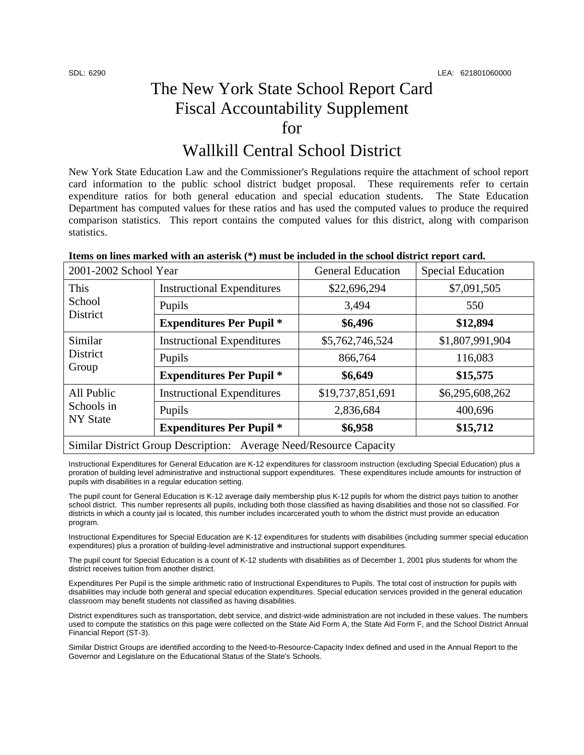## The New York State School Report Card Fiscal Accountability Supplement for

## Wallkill Central School District

New York State Education Law and the Commissioner's Regulations require the attachment of school report card information to the public school district budget proposal. These requirements refer to certain expenditure ratios for both general education and special education students. The State Education Department has computed values for these ratios and has used the computed values to produce the required comparison statistics. This report contains the computed values for this district, along with comparison statistics.

| 2001-2002 School Year                                              |                                   | <b>General Education</b> | <b>Special Education</b> |  |
|--------------------------------------------------------------------|-----------------------------------|--------------------------|--------------------------|--|
| This<br>School<br>District                                         | <b>Instructional Expenditures</b> | \$22,696,294             | \$7,091,505              |  |
|                                                                    | Pupils                            | 3,494                    | 550                      |  |
|                                                                    | <b>Expenditures Per Pupil *</b>   | \$6,496                  | \$12,894                 |  |
| Similar<br>District<br>Group                                       | <b>Instructional Expenditures</b> | \$5,762,746,524          | \$1,807,991,904          |  |
|                                                                    | Pupils                            | 866,764                  | 116,083                  |  |
|                                                                    | <b>Expenditures Per Pupil *</b>   | \$6,649                  | \$15,575                 |  |
| All Public<br>Schools in<br><b>NY State</b>                        | <b>Instructional Expenditures</b> | \$19,737,851,691         | \$6,295,608,262          |  |
|                                                                    | Pupils                            | 2,836,684                | 400,696                  |  |
|                                                                    | <b>Expenditures Per Pupil *</b>   | \$6,958                  | \$15,712                 |  |
| Similar District Group Description: Average Need/Resource Capacity |                                   |                          |                          |  |

Instructional Expenditures for General Education are K-12 expenditures for classroom instruction (excluding Special Education) plus a proration of building level administrative and instructional support expenditures. These expenditures include amounts for instruction of pupils with disabilities in a regular education setting.

The pupil count for General Education is K-12 average daily membership plus K-12 pupils for whom the district pays tuition to another school district. This number represents all pupils, including both those classified as having disabilities and those not so classified. For districts in which a county jail is located, this number includes incarcerated youth to whom the district must provide an education program.

Instructional Expenditures for Special Education are K-12 expenditures for students with disabilities (including summer special education expenditures) plus a proration of building-level administrative and instructional support expenditures.

The pupil count for Special Education is a count of K-12 students with disabilities as of December 1, 2001 plus students for whom the district receives tuition from another district.

Expenditures Per Pupil is the simple arithmetic ratio of Instructional Expenditures to Pupils. The total cost of instruction for pupils with disabilities may include both general and special education expenditures. Special education services provided in the general education classroom may benefit students not classified as having disabilities.

District expenditures such as transportation, debt service, and district-wide administration are not included in these values. The numbers used to compute the statistics on this page were collected on the State Aid Form A, the State Aid Form F, and the School District Annual Financial Report (ST-3).

Similar District Groups are identified according to the Need-to-Resource-Capacity Index defined and used in the Annual Report to the Governor and Legislature on the Educational Status of the State's Schools.